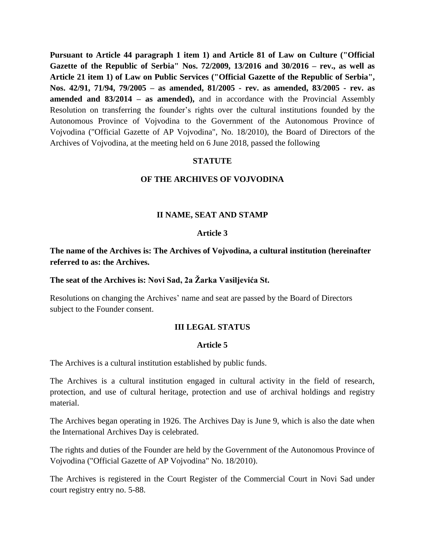**Pursuant to Article 44 paragraph 1 item 1) and Article 81 of Law on Culture ("Official Gazette of the Republic of Serbia" Nos. 72/2009, 13/2016 and 30/2016 – rev., as well as Article 21 item 1) of Law on Public Services ("Official Gazette of the Republic of Serbia", Nos. 42/91, 71/94, 79/2005 – as amended, 81/2005 - rev. as amended, 83/2005 - rev. as amended and 83/2014 – as amended),** and in accordance with the Provincial Assembly Resolution on transferring the founder's rights over the cultural institutions founded by the Autonomous Province of Vojvodina to the Government of the Autonomous Province of Vojvodina ("Official Gazette of AP Vojvodina", No. 18/2010), the Board of Directors of the Archives of Vojvodina, at the meeting held on 6 June 2018, passed the following

### **STATUTE**

#### **OF THE ARCHIVES OF VOJVODINA**

### **II NAME, SEAT AND STAMP**

#### **Article 3**

**The name of the Archives is: The Archives of Vojvodina, a cultural institution (hereinafter referred to as: the Archives.**

**The seat of the Archives is: Novi Sad, 2a Žarka Vasiljevića St.**

Resolutions on changing the Archives' name and seat are passed by the Board of Directors subject to the Founder consent.

### **III LEGAL STATUS**

### **Article 5**

The Archives is a cultural institution established by public funds.

The Archives is a cultural institution engaged in cultural activity in the field of research, protection, and use of cultural heritage, protection and use of archival holdings and registry material.

The Archives began operating in 1926. The Archives Day is June 9, which is also the date when the International Archives Day is celebrated.

The rights and duties of the Founder are held by the Government of the Autonomous Province of Vojvodina ("Official Gazette of AP Vojvodina" No. 18/2010).

The Archives is registered in the Court Register of the Commercial Court in Novi Sad under court registry entry no. 5-88.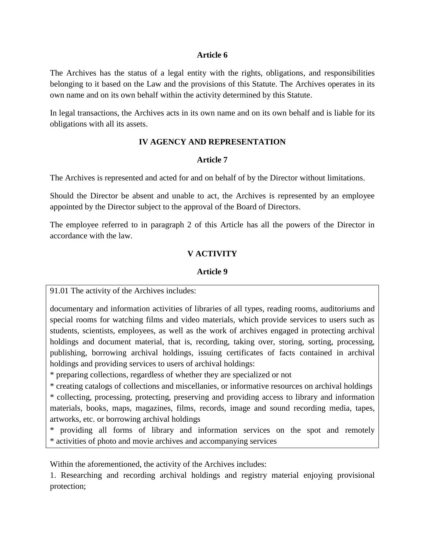### **Article 6**

The Archives has the status of a legal entity with the rights, obligations, and responsibilities belonging to it based on the Law and the provisions of this Statute. The Archives operates in its own name and on its own behalf within the activity determined by this Statute.

In legal transactions, the Archives acts in its own name and on its own behalf and is liable for its obligations with all its assets.

# **IV AGENCY AND REPRESENTATION**

### **Article 7**

The Archives is represented and acted for and on behalf of by the Director without limitations.

Should the Director be absent and unable to act, the Archives is represented by an employee appointed by the Director subject to the approval of the Board of Directors.

The employee referred to in paragraph 2 of this Article has all the powers of the Director in accordance with the law.

# **V ACTIVITY**

# **Article 9**

91.01 The activity of the Archives includes:

documentary and information activities of libraries of all types, reading rooms, auditoriums and special rooms for watching films and video materials, which provide services to users such as students, scientists, employees, as well as the work of archives engaged in protecting archival holdings and document material, that is, recording, taking over, storing, sorting, processing, publishing, borrowing archival holdings, issuing certificates of facts contained in archival holdings and providing services to users of archival holdings:

\* preparing collections, regardless of whether they are specialized or not

\* creating catalogs of collections and miscellanies, or informative resources on archival holdings \* collecting, processing, protecting, preserving and providing access to library and information materials, books, maps, magazines, films, records, image and sound recording media, tapes, artworks, etc. or borrowing archival holdings

\* providing all forms of library and information services on the spot and remotely \* activities of photo and movie archives and accompanying services

Within the aforementioned, the activity of the Archives includes:

1. Researching and recording archival holdings and registry material enjoying provisional protection;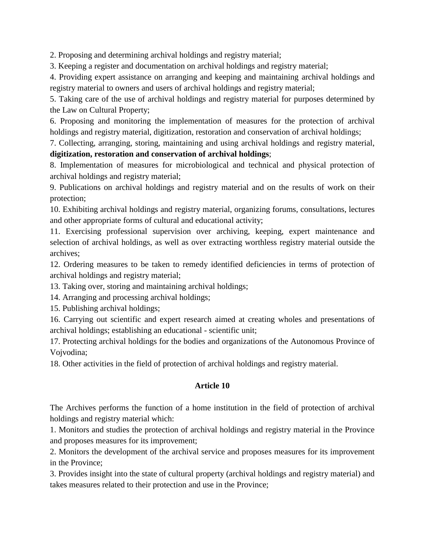2. Proposing and determining archival holdings and registry material;

3. Keeping a register and documentation on archival holdings and registry material;

4. Providing expert assistance on arranging and keeping and maintaining archival holdings and registry material to owners and users of archival holdings and registry material;

5. Taking care of the use of archival holdings and registry material for purposes determined by the Law on Cultural Property;

6. Proposing and monitoring the implementation of measures for the protection of archival holdings and registry material, digitization, restoration and conservation of archival holdings;

7. Collecting, arranging, storing, maintaining and using archival holdings and registry material,

# **digitization, restoration and conservation of archival holdings**;

8. Implementation of measures for microbiological and technical and physical protection of archival holdings and registry material;

9. Publications on archival holdings and registry material and on the results of work on their protection;

10. Exhibiting archival holdings and registry material, organizing forums, consultations, lectures and other appropriate forms of cultural and educational activity;

11. Exercising professional supervision over archiving, keeping, expert maintenance and selection of archival holdings, as well as over extracting worthless registry material outside the archives;

12. Ordering measures to be taken to remedy identified deficiencies in terms of protection of archival holdings and registry material;

13. Taking over, storing and maintaining archival holdings;

14. Arranging and processing archival holdings;

15. Publishing archival holdings;

16. Carrying out scientific and expert research aimed at creating wholes and presentations of archival holdings; establishing an educational - scientific unit;

17. Protecting archival holdings for the bodies and organizations of the Autonomous Province of Vojvodina;

18. Other activities in the field of protection of archival holdings and registry material.

# **Article 10**

The Archives performs the function of a home institution in the field of protection of archival holdings and registry material which:

1. Monitors and studies the protection of archival holdings and registry material in the Province and proposes measures for its improvement;

2. Monitors the development of the archival service and proposes measures for its improvement in the Province;

3. Provides insight into the state of cultural property (archival holdings and registry material) and takes measures related to their protection and use in the Province;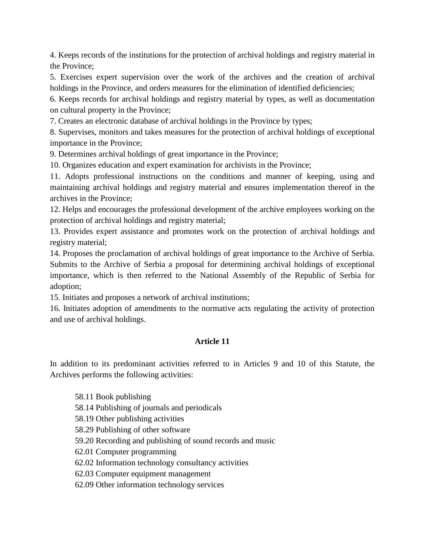4. Keeps records of the institutions for the protection of archival holdings and registry material in the Province;

5. Exercises expert supervision over the work of the archives and the creation of archival holdings in the Province, and orders measures for the elimination of identified deficiencies;

6. Keeps records for archival holdings and registry material by types, as well as documentation on cultural property in the Province;

7. Creates an electronic database of archival holdings in the Province by types;

8. Supervises, monitors and takes measures for the protection of archival holdings of exceptional importance in the Province;

9. Determines archival holdings of great importance in the Province;

10. Organizes education and expert examination for archivists in the Province;

11. Adopts professional instructions on the conditions and manner of keeping, using and maintaining archival holdings and registry material and ensures implementation thereof in the archives in the Province;

12. Helps and encourages the professional development of the archive employees working on the protection of archival holdings and registry material;

13. Provides expert assistance and promotes work on the protection of archival holdings and registry material;

14. Proposes the proclamation of archival holdings of great importance to the Archive of Serbia. Submits to the Archive of Serbia a proposal for determining archival holdings of exceptional importance, which is then referred to the National Assembly of the Republic of Serbia for adoption;

15. Initiates and proposes a network of archival institutions;

16. Initiates adoption of amendments to the normative acts regulating the activity of protection and use of archival holdings.

# **Article 11**

In addition to its predominant activities referred to in Articles 9 and 10 of this Statute, the Archives performs the following activities:

58.11 Book publishing

- 58.14 Publishing of journals and periodicals
- 58.19 Other publishing activities
- 58.29 Publishing of other software
- 59.20 Recording and publishing of sound records and music
- 62.01 Computer programming
- 62.02 Information technology consultancy activities
- 62.03 Computer equipment management
- 62.09 Other information technology services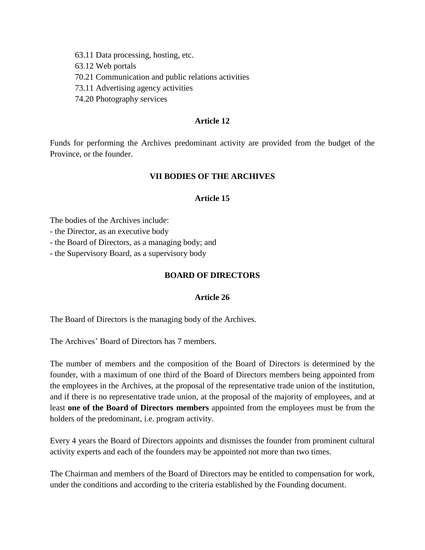- 63.11 Data processing, hosting, etc.
- 63.12 Web portals
- 70.21 Communication and public relations activities
- 73.11 Advertising agency activities
- 74.20 Photography services

#### **Article 12**

Funds for performing the Archives predominant activity are provided from the budget of the Province, or the founder.

#### **VII BODIES OF THE ARCHIVES**

#### **Article 15**

The bodies of the Archives include:

- the Director, as an executive body

- the Board of Directors, as a managing body; and

- the Supervisory Board, as a supervisory body

#### **BOARD OF DIRECTORS**

#### **Article 26**

The Board of Directors is the managing body of the Archives.

The Archives' Board of Directors has 7 members.

The number of members and the composition of the Board of Directors is determined by the founder, with a maximum of one third of the Board of Directors members being appointed from the employees in the Archives, at the proposal of the representative trade union of the institution, and if there is no representative trade union, at the proposal of the majority of employees, and at least **one of the Board of Directors members** appointed from the employees must be from the holders of the predominant, i.e. program activity.

Every 4 years the Board of Directors appoints and dismisses the founder from prominent cultural activity experts and each of the founders may be appointed not more than two times.

The Chairman and members of the Board of Directors may be entitled to compensation for work, under the conditions and according to the criteria established by the Founding document.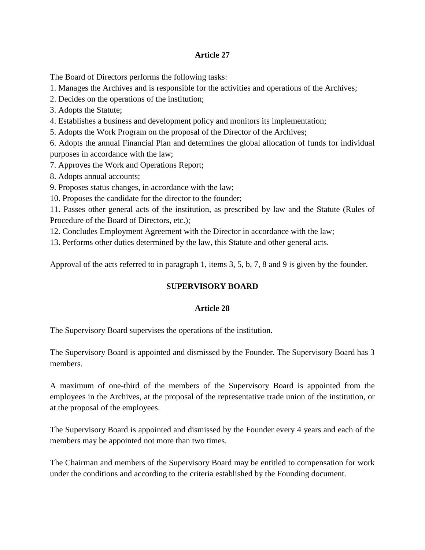## **Article 27**

The Board of Directors performs the following tasks:

1. Manages the Archives and is responsible for the activities and operations of the Archives;

2. Decides on the operations of the institution;

3. Adopts the Statute;

4. Establishes a business and development policy and monitors its implementation;

5. Adopts the Work Program on the proposal of the Director of the Archives;

6. Adopts the annual Financial Plan and determines the global allocation of funds for individual purposes in accordance with the law;

7. Approves the Work and Operations Report;

8. Adopts annual accounts;

9. Proposes status changes, in accordance with the law;

10. Proposes the candidate for the director to the founder;

11. Passes other general acts of the institution, as prescribed by law and the Statute (Rules of Procedure of the Board of Directors, etc.);

12. Concludes Employment Agreement with the Director in accordance with the law;

13. Performs other duties determined by the law, this Statute and other general acts.

Approval of the acts referred to in paragraph 1, items 3, 5, b, 7, 8 and 9 is given by the founder.

# **SUPERVISORY BOARD**

# **Article 28**

The Supervisory Board supervises the operations of the institution.

The Supervisory Board is appointed and dismissed by the Founder. The Supervisory Board has 3 members.

A maximum of one-third of the members of the Supervisory Board is appointed from the employees in the Archives, at the proposal of the representative trade union of the institution, or at the proposal of the employees.

The Supervisory Board is appointed and dismissed by the Founder every 4 years and each of the members may be appointed not more than two times.

The Chairman and members of the Supervisory Board may be entitled to compensation for work under the conditions and according to the criteria established by the Founding document.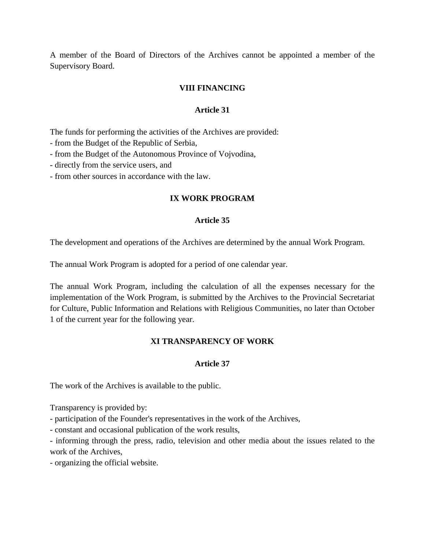A member of the Board of Directors of the Archives cannot be appointed a member of the Supervisory Board.

## **VIII FINANCING**

### **Article 31**

The funds for performing the activities of the Archives are provided:

- from the Budget of the Republic of Serbia,

- from the Budget of the Autonomous Province of Vojvodina,

- directly from the service users, and

- from other sources in accordance with the law.

### **IX WORK PROGRAM**

#### **Article 35**

The development and operations of the Archives are determined by the annual Work Program.

The annual Work Program is adopted for a period of one calendar year.

The annual Work Program, including the calculation of all the expenses necessary for the implementation of the Work Program, is submitted by the Archives to the Provincial Secretariat for Culture, Public Information and Relations with Religious Communities, no later than October 1 of the current year for the following year.

### **XI TRANSPARENCY OF WORK**

### **Article 37**

The work of the Archives is available to the public.

Transparency is provided by:

- participation of the Founder's representatives in the work of the Archives,

- constant and occasional publication of the work results,

- informing through the press, radio, television and other media about the issues related to the work of the Archives,

- organizing the official website.